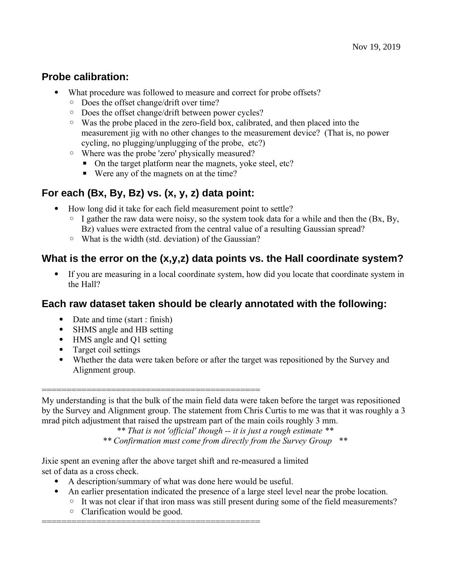### **Probe calibration:**

- What procedure was followed to measure and correct for probe offsets?
	- Does the offset change/drift over time?
	- Does the offset change/drift between power cycles?
	- Was the probe placed in the zero-field box, calibrated, and then placed into the measurement jig with no other changes to the measurement device? (That is, no power cycling, no plugging/unplugging of the probe, etc?)
	- Where was the probe 'zero' physically measured?
		- On the target platform near the magnets, yoke steel, etc?
		- Were any of the magnets on at the time?

# **For each (Bx, By, Bz) vs. (x, y, z) data point:**

- How long did it take for each field measurement point to settle?
	- $\circ$  I gather the raw data were noisy, so the system took data for a while and then the (Bx, By, Bz) values were extracted from the central value of a resulting Gaussian spread?
	- What is the width (std. deviation) of the Gaussian?

### **What is the error on the (x,y,z) data points vs. the Hall coordinate system?**

 If you are measuring in a local coordinate system, how did you locate that coordinate system in the Hall?

### **Each raw dataset taken should be clearly annotated with the following:**

- Date and time (start : finish)
- SHMS angle and HB setting
- HMS angle and Q1 setting
- Target coil settings
- Whether the data were taken before or after the target was repositioned by the Survey and Alignment group.

============================================

My understanding is that the bulk of the main field data were taken before the target was repositioned by the Survey and Alignment group. The statement from Chris Curtis to me was that it was roughly a 3 mrad pitch adjustment that raised the upstream part of the main coils roughly 3 mm.

*\*\* That is not 'official' though -- it is just a rough estimate \*\**

*\*\* Confirmation must come from directly from the Survey Group \*\**

Jixie spent an evening after the above target shift and re-measured a limited set of data as a cross check.

- A description/summary of what was done here would be useful.
- An earlier presentation indicated the presence of a large steel level near the probe location.
	- It was not clear if that iron mass was still present during some of the field measurements?
		- Clarification would be good.

============================================